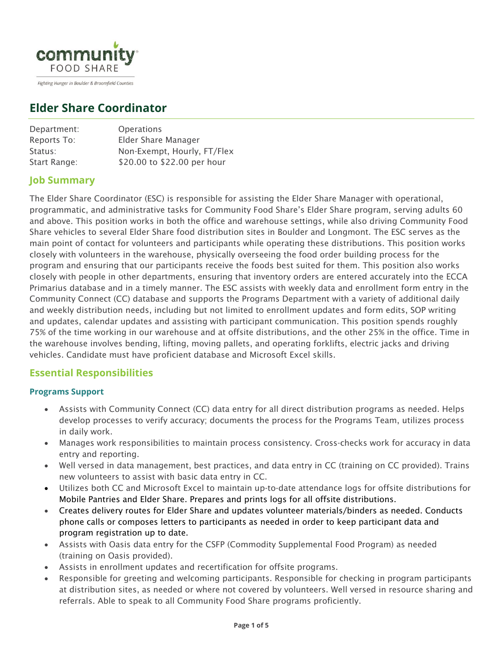

Fighting Hunger in Boulder & Broomfield Counties

# **Elder Share Coordinator**

| Department:  | <b>Operations</b>           |
|--------------|-----------------------------|
| Reports To:  | Elder Share Manager         |
| Status:      | Non-Exempt, Hourly, FT/Flex |
| Start Range: | \$20.00 to \$22.00 per hour |
|              |                             |

# **Job Summary**

The Elder Share Coordinator (ESC) is responsible for assisting the Elder Share Manager with operational, programmatic, and administrative tasks for Community Food Share's Elder Share program, serving adults 60 and above. This position works in both the office and warehouse settings, while also driving Community Food Share vehicles to several Elder Share food distribution sites in Boulder and Longmont. The ESC serves as the main point of contact for volunteers and participants while operating these distributions. This position works closely with volunteers in the warehouse, physically overseeing the food order building process for the program and ensuring that our participants receive the foods best suited for them. This position also works closely with people in other departments, ensuring that inventory orders are entered accurately into the ECCA Primarius database and in a timely manner. The ESC assists with weekly data and enrollment form entry in the Community Connect (CC) database and supports the Programs Department with a variety of additional daily and weekly distribution needs, including but not limited to enrollment updates and form edits, SOP writing and updates, calendar updates and assisting with participant communication. This position spends roughly 75% of the time working in our warehouse and at offsite distributions, and the other 25% in the office. Time in the warehouse involves bending, lifting, moving pallets, and operating forklifts, electric jacks and driving vehicles. Candidate must have proficient database and Microsoft Excel skills.

## **Essential Responsibilities**

#### **Programs Support**

- Assists with Community Connect (CC) data entry for all direct distribution programs as needed. Helps develop processes to verify accuracy; documents the process for the Programs Team, utilizes process in daily work.
- Manages work responsibilities to maintain process consistency. Cross-checks work for accuracy in data entry and reporting.
- Well versed in data management, best practices, and data entry in CC (training on CC provided). Trains new volunteers to assist with basic data entry in CC.
- Utilizes both CC and Microsoft Excel to maintain up-to-date attendance logs for offsite distributions for Mobile Pantries and Elder Share. Prepares and prints logs for all offsite distributions.
- Creates delivery routes for Elder Share and updates volunteer materials/binders as needed. Conducts phone calls or composes letters to participants as needed in order to keep participant data and program registration up to date.
- Assists with Oasis data entry for the CSFP (Commodity Supplemental Food Program) as needed (training on Oasis provided).
- Assists in enrollment updates and recertification for offsite programs.
- Responsible for greeting and welcoming participants. Responsible for checking in program participants at distribution sites, as needed or where not covered by volunteers. Well versed in resource sharing and referrals. Able to speak to all Community Food Share programs proficiently.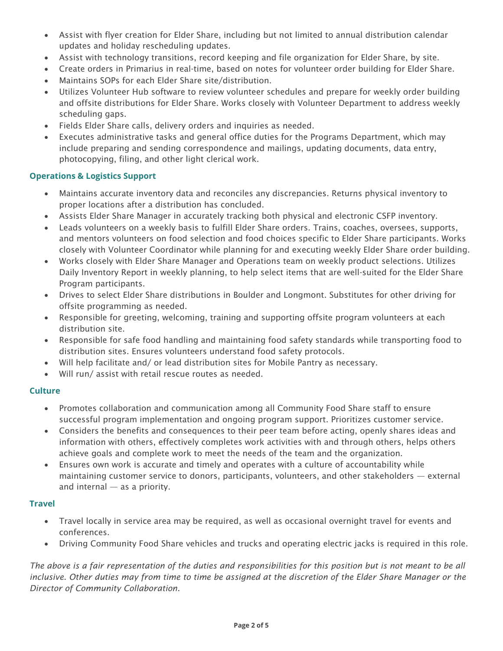- Assist with flyer creation for Elder Share, including but not limited to annual distribution calendar updates and holiday rescheduling updates.
- Assist with technology transitions, record keeping and file organization for Elder Share, by site.
- Create orders in Primarius in real-time, based on notes for volunteer order building for Elder Share.
- Maintains SOPs for each Elder Share site/distribution.
- Utilizes Volunteer Hub software to review volunteer schedules and prepare for weekly order building and offsite distributions for Elder Share. Works closely with Volunteer Department to address weekly scheduling gaps.
- Fields Elder Share calls, delivery orders and inquiries as needed.
- Executes administrative tasks and general office duties for the Programs Department, which may include preparing and sending correspondence and mailings, updating documents, data entry, photocopying, filing, and other light clerical work.

#### **Operations & Logistics Support**

- Maintains accurate inventory data and reconciles any discrepancies. Returns physical inventory to proper locations after a distribution has concluded.
- Assists Elder Share Manager in accurately tracking both physical and electronic CSFP inventory.
- Leads volunteers on a weekly basis to fulfill Elder Share orders. Trains, coaches, oversees, supports, and mentors volunteers on food selection and food choices specific to Elder Share participants. Works closely with Volunteer Coordinator while planning for and executing weekly Elder Share order building.
- Works closely with Elder Share Manager and Operations team on weekly product selections. Utilizes Daily Inventory Report in weekly planning, to help select items that are well-suited for the Elder Share Program participants.
- Drives to select Elder Share distributions in Boulder and Longmont. Substitutes for other driving for offsite programming as needed.
- Responsible for greeting, welcoming, training and supporting offsite program volunteers at each distribution site.
- Responsible for safe food handling and maintaining food safety standards while transporting food to distribution sites. Ensures volunteers understand food safety protocols.
- Will help facilitate and/ or lead distribution sites for Mobile Pantry as necessary.
- Will run/ assist with retail rescue routes as needed.

#### **Culture**

- Promotes collaboration and communication among all Community Food Share staff to ensure successful program implementation and ongoing program support. Prioritizes customer service.
- Considers the benefits and consequences to their peer team before acting, openly shares ideas and information with others, effectively completes work activities with and through others, helps others achieve goals and complete work to meet the needs of the team and the organization.
- Ensures own work is accurate and timely and operates with a culture of accountability while maintaining customer service to donors, participants, volunteers, and other stakeholders — external and internal — as a priority.

#### **Travel**

- Travel locally in service area may be required, as well as occasional overnight travel for events and conferences.
- Driving Community Food Share vehicles and trucks and operating electric jacks is required in this role.

*The above is a fair representation of the duties and responsibilities for this position but is not meant to be all*  inclusive. Other duties may from time to time be assigned at the discretion of the Elder Share Manager or the *Director of Community Collaboration.*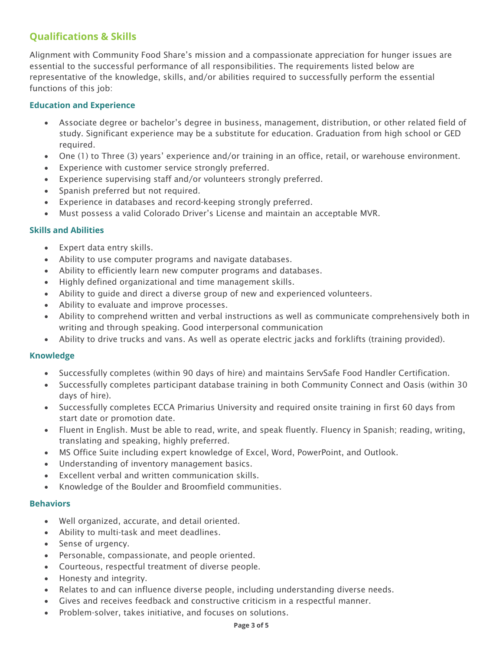# **Qualifications & Skills**

Alignment with Community Food Share's mission and a compassionate appreciation for hunger issues are essential to the successful performance of all responsibilities. The requirements listed below are representative of the knowledge, skills, and/or abilities required to successfully perform the essential functions of this job:

#### **Education and Experience**

- Associate degree or bachelor's degree in business, management, distribution, or other related field of study. Significant experience may be a substitute for education. Graduation from high school or GED required.
- One (1) to Three (3) years' experience and/or training in an office, retail, or warehouse environment.
- Experience with customer service strongly preferred.
- Experience supervising staff and/or volunteers strongly preferred.
- Spanish preferred but not required.
- Experience in databases and record-keeping strongly preferred.
- Must possess a valid Colorado Driver's License and maintain an acceptable MVR.

#### **Skills and Abilities**

- Expert data entry skills.
- Ability to use computer programs and navigate databases.
- Ability to efficiently learn new computer programs and databases.
- Highly defined organizational and time management skills.
- Ability to guide and direct a diverse group of new and experienced volunteers.
- Ability to evaluate and improve processes.
- Ability to comprehend written and verbal instructions as well as communicate comprehensively both in writing and through speaking. Good interpersonal communication
- Ability to drive trucks and vans. As well as operate electric jacks and forklifts (training provided).

#### **Knowledge**

- Successfully completes (within 90 days of hire) and maintains ServSafe Food Handler Certification.
- Successfully completes participant database training in both Community Connect and Oasis (within 30 days of hire).
- Successfully completes ECCA Primarius University and required onsite training in first 60 days from start date or promotion date.
- Fluent in English. Must be able to read, write, and speak fluently. Fluency in Spanish; reading, writing, translating and speaking, highly preferred.
- MS Office Suite including expert knowledge of Excel, Word, PowerPoint, and Outlook.
- Understanding of inventory management basics.
- Excellent verbal and written communication skills.
- Knowledge of the Boulder and Broomfield communities.

#### **Behaviors**

- Well organized, accurate, and detail oriented.
- Ability to multi-task and meet deadlines.
- Sense of urgency.
- Personable, compassionate, and people oriented.
- Courteous, respectful treatment of diverse people.
- Honesty and integrity.
- Relates to and can influence diverse people, including understanding diverse needs.
- Gives and receives feedback and constructive criticism in a respectful manner.
- Problem-solver, takes initiative, and focuses on solutions.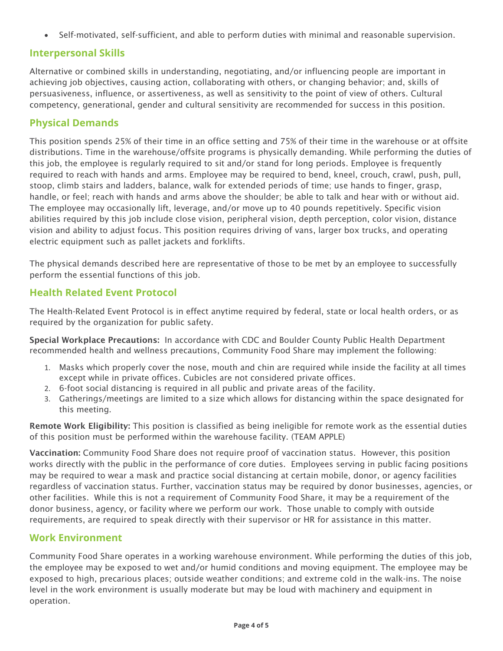• Self-motivated, self-sufficient, and able to perform duties with minimal and reasonable supervision.

### **Interpersonal Skills**

Alternative or combined skills in understanding, negotiating, and/or influencing people are important in achieving job objectives, causing action, collaborating with others, or changing behavior; and, skills of persuasiveness, influence, or assertiveness, as well as sensitivity to the point of view of others. Cultural competency, generational, gender and cultural sensitivity are recommended for success in this position.

### **Physical Demands**

This position spends 25% of their time in an office setting and 75% of their time in the warehouse or at offsite distributions. Time in the warehouse/offsite programs is physically demanding. While performing the duties of this job, the employee is regularly required to sit and/or stand for long periods. Employee is frequently required to reach with hands and arms. Employee may be required to bend, kneel, crouch, crawl, push, pull, stoop, climb stairs and ladders, balance, walk for extended periods of time; use hands to finger, grasp, handle, or feel; reach with hands and arms above the shoulder; be able to talk and hear with or without aid. The employee may occasionally lift, leverage, and/or move up to 40 pounds repetitively. Specific vision abilities required by this job include close vision, peripheral vision, depth perception, color vision, distance vision and ability to adjust focus. This position requires driving of vans, larger box trucks, and operating electric equipment such as pallet jackets and forklifts.

The physical demands described here are representative of those to be met by an employee to successfully perform the essential functions of this job.

### **Health Related Event Protocol**

The Health-Related Event Protocol is in effect anytime required by federal, state or local health orders, or as required by the organization for public safety.

Special Workplace Precautions: In accordance with CDC and Boulder County Public Health Department recommended health and wellness precautions, Community Food Share may implement the following:

- 1. Masks which properly cover the nose, mouth and chin are required while inside the facility at all times except while in private offices. Cubicles are not considered private offices.
- 2. 6-foot social distancing is required in all public and private areas of the facility.
- 3. Gatherings/meetings are limited to a size which allows for distancing within the space designated for this meeting.

Remote Work Eligibility: This position is classified as being ineligible for remote work as the essential duties of this position must be performed within the warehouse facility. (TEAM APPLE)

Vaccination: Community Food Share does not require proof of vaccination status. However, this position works directly with the public in the performance of core duties. Employees serving in public facing positions may be required to wear a mask and practice social distancing at certain mobile, donor, or agency facilities regardless of vaccination status. Further, vaccination status may be required by donor businesses, agencies, or other facilities. While this is not a requirement of Community Food Share, it may be a requirement of the donor business, agency, or facility where we perform our work. Those unable to comply with outside requirements, are required to speak directly with their supervisor or HR for assistance in this matter.

### **Work Environment**

Community Food Share operates in a working warehouse environment. While performing the duties of this job, the employee may be exposed to wet and/or humid conditions and moving equipment. The employee may be exposed to high, precarious places; outside weather conditions; and extreme cold in the walk-ins. The noise level in the work environment is usually moderate but may be loud with machinery and equipment in operation.